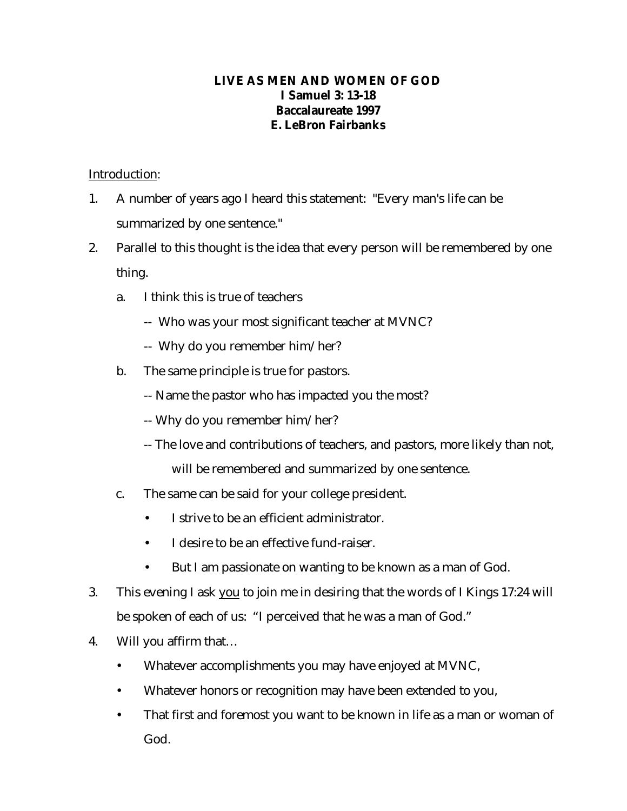## **LIVE AS MEN AND WOMEN OF GOD I Samuel 3: 13-18 Baccalaureate 1997 E. LeBron Fairbanks**

## Introduction:

- 1. A number of years ago I heard this statement: "Every man's life can be summarized by one sentence."
- 2. Parallel to this thought is the idea that every person will be remembered by one thing.
	- a. I think this is true of teachers
		- -- Who was your most significant teacher at MVNC?
		- -- Why do you remember him/her?
	- b. The same principle is true for pastors.
		- -- Name the pastor who has impacted you the most?
		- -- Why do you remember him/her?
		- -- The love and contributions of teachers, and pastors, more likely than not, will be remembered and summarized by one sentence.
	- c. The same can be said for your college president.
		- I strive to be an efficient administrator.
		- I desire to be an effective fund-raiser.
		- But I am passionate on wanting to be known as a man of God.
- 3. This evening I ask you to join me in desiring that the words of I Kings 17:24 will be spoken of each of us: "I perceived that he was a man of God."
- 4. Will you affirm that…
	- Whatever accomplishments you may have enjoyed at MVNC,
	- Whatever honors or recognition may have been extended to you,
	- That first and foremost you want to be known in life as a man or woman of God.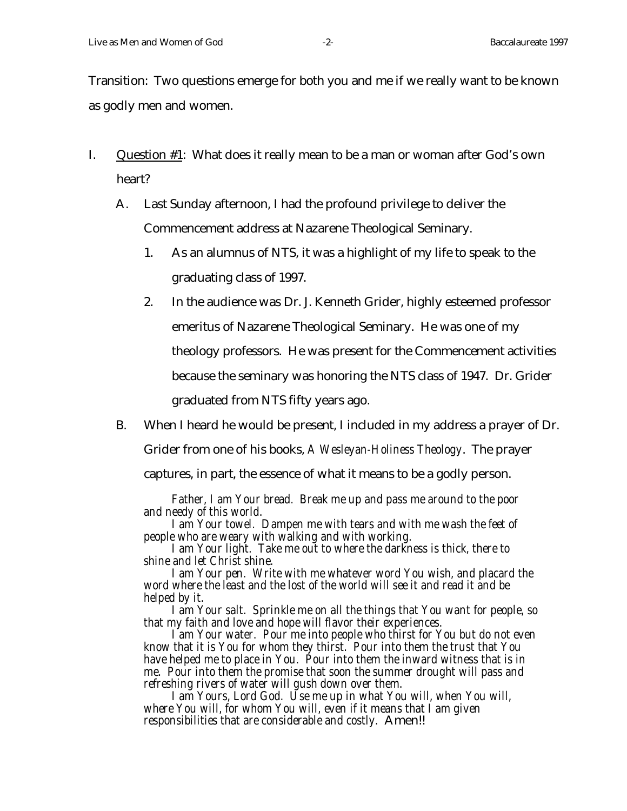Transition: Two questions emerge for both you and me if we really want to be known as godly men and women.

- I. Question #1: What does it really mean to be a man or woman after God's own heart?
	- A. Last Sunday afternoon, I had the profound privilege to deliver the Commencement address at Nazarene Theological Seminary.
		- 1. As an alumnus of NTS, it was a highlight of my life to speak to the graduating class of 1997.
		- 2. In the audience was Dr. J. Kenneth Grider, highly esteemed professor emeritus of Nazarene Theological Seminary. He was one of my theology professors. He was present for the Commencement activities because the seminary was honoring the NTS class of 1947. Dr. Grider graduated from NTS fifty years ago.
	- B. When I heard he would be present, I included in my address a prayer of Dr.

Grider from one of his books, *A Wesleyan-Holiness Theology*. The prayer

captures, in part, the essence of what it means to be a godly person.

*Father, I am Your bread. Break me up and pass me around to the poor and needy of this world.*

*I am Your towel. Dampen me with tears and with me wash the feet of people who are weary with walking and with working.*

*I am Your light. Take me out to where the darkness is thick, there to shine and let Christ shine.*

*I am Your pen. Write with me whatever word You wish, and placard the word where the least and the lost of the world will see it and read it and be helped by it.*

*I am Your salt. Sprinkle me on all the things that You want for people, so that my faith and love and hope will flavor their experiences.*

*I am Your water. Pour me into people who thirst for You but do not even know that it is You for whom they thirst. Pour into them the trust that You have helped me to place in You. Pour into them the inward witness that is in me. Pour into them the promise that soon the summer drought will pass and refreshing rivers of water will gush down over them.*

*I am Yours, Lord God. Use me up in what You will, when You will, where You will, for whom You will, even if it means that I am given responsibilities that are considerable and costly.* Amen!!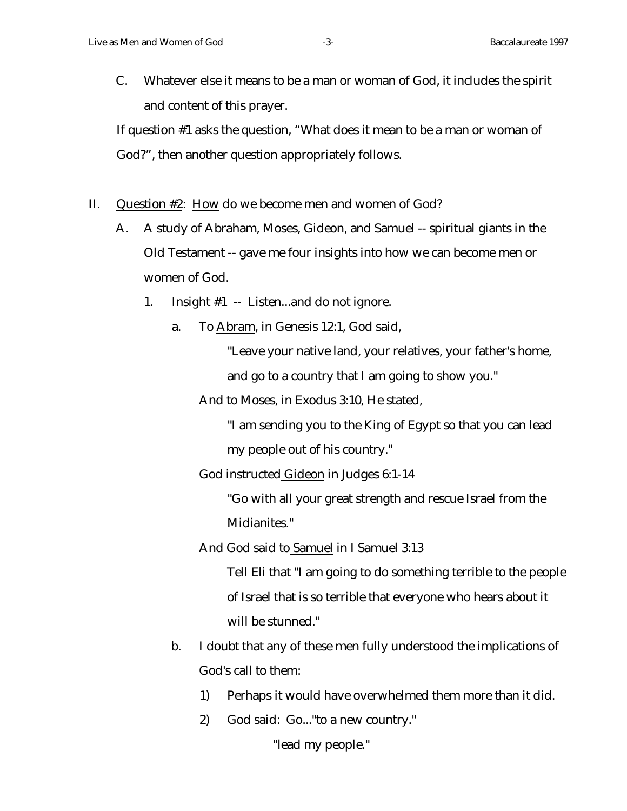C. Whatever else it means to be a man or woman of God, it includes the spirit and content of this prayer.

If question #1 asks the question, "What does it mean to be a man or woman of God?", then another question appropriately follows.

- II. Question #2: How do we become men and women of God?
	- A. A study of Abraham, Moses, Gideon, and Samuel -- spiritual giants in the Old Testament -- gave me four insights into how we can become men or women of God.
		- 1. Insight #1 -- Listen...and do not ignore.
			- a. To Abram, in Genesis 12:1, God said,

"Leave your native land, your relatives, your father's home, and go to a country that I am going to show you."

And to Moses, in Exodus 3:10, He stated,

"I am sending you to the King of Egypt so that you can lead my people out of his country."

God instructed Gideon in Judges 6:1-14

"Go with all your great strength and rescue Israel from the Midianites."

And God said to Samuel in I Samuel 3:13

Tell Eli that "I am going to do something terrible to the people of Israel that is so terrible that everyone who hears about it will be stunned."

- b. I doubt that any of these men fully understood the implications of God's call to them:
	- 1) Perhaps it would have overwhelmed them more than it did.
	- 2) God said: Go..."to a new country."

"lead my people."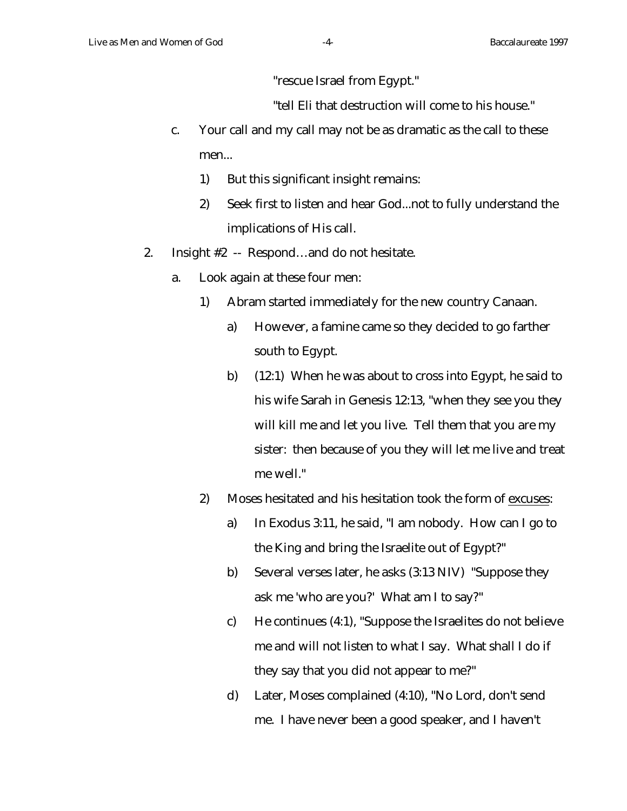"rescue Israel from Egypt."

"tell Eli that destruction will come to his house."

- c. Your call and my call may not be as dramatic as the call to these men...
	- 1) But this significant insight remains:
	- 2) Seek first to listen and hear God...not to fully understand the implications of His call.
- 2. Insight #2 -- Respond…and do not hesitate.
	- a. Look again at these four men:
		- 1) Abram started immediately for the new country Canaan.
			- a) However, a famine came so they decided to go farther south to Egypt.
			- b) (12:1) When he was about to cross into Egypt, he said to his wife Sarah in Genesis 12:13, "when they see you they will kill me and let you live. Tell them that you are my sister: then because of you they will let me live and treat me well."
		- 2) Moses hesitated and his hesitation took the form of excuses:
			- a) In Exodus 3:11, he said, "I am nobody. How can I go to the King and bring the Israelite out of Egypt?"
			- b) Several verses later, he asks (3:13 NIV) "Suppose they ask me 'who are you?' What am I to say?"
			- c) He continues (4:1), "Suppose the Israelites do not believe me and will not listen to what I say. What shall I do if they say that you did not appear to me?"
			- d) Later, Moses complained (4:10), "No Lord, don't send me. I have never been a good speaker, and I haven't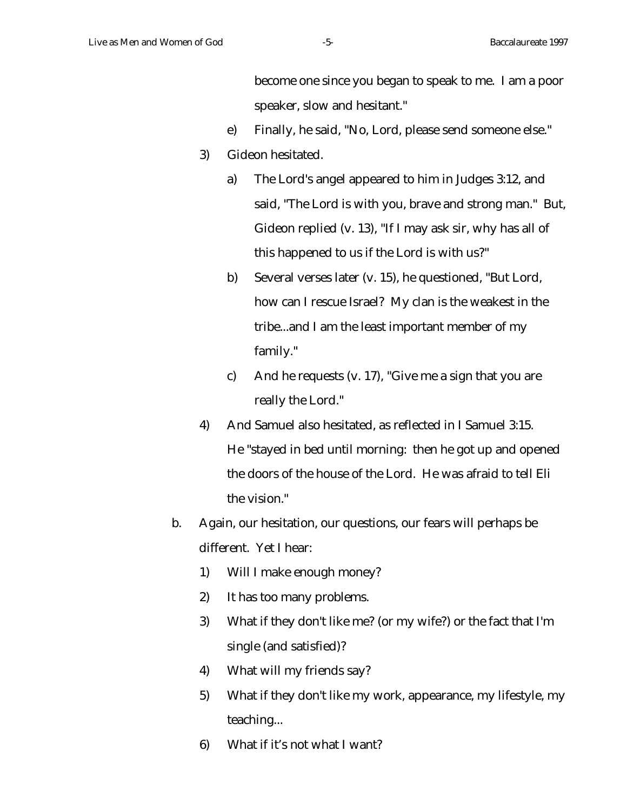become one since you began to speak to me. I am a poor speaker, slow and hesitant."

- e) Finally, he said, "No, Lord, please send someone else."
- 3) Gideon hesitated.
	- a) The Lord's angel appeared to him in Judges 3:12, and said, "The Lord is with you, brave and strong man." But, Gideon replied (v. 13), "If I may ask sir, why has all of this happened to us if the Lord is with us?"
	- b) Several verses later (v. 15), he questioned, "But Lord, how can I rescue Israel? My clan is the weakest in the tribe...and I am the least important member of my family."
	- c) And he requests (v. 17), "Give me a sign that you are really the Lord."
- 4) And Samuel also hesitated, as reflected in I Samuel 3:15. He "stayed in bed until morning: then he got up and opened the doors of the house of the Lord. He was afraid to tell Eli the vision."
- b. Again, our hesitation, our questions, our fears will perhaps be different. Yet I hear:
	- 1) Will I make enough money?
	- 2) It has too many problems.
	- 3) What if they don't like me? (or my wife?) or the fact that I'm single (and satisfied)?
	- 4) What will my friends say?
	- 5) What if they don't like my work, appearance, my lifestyle, my teaching...
	- 6) What if it's not what I want?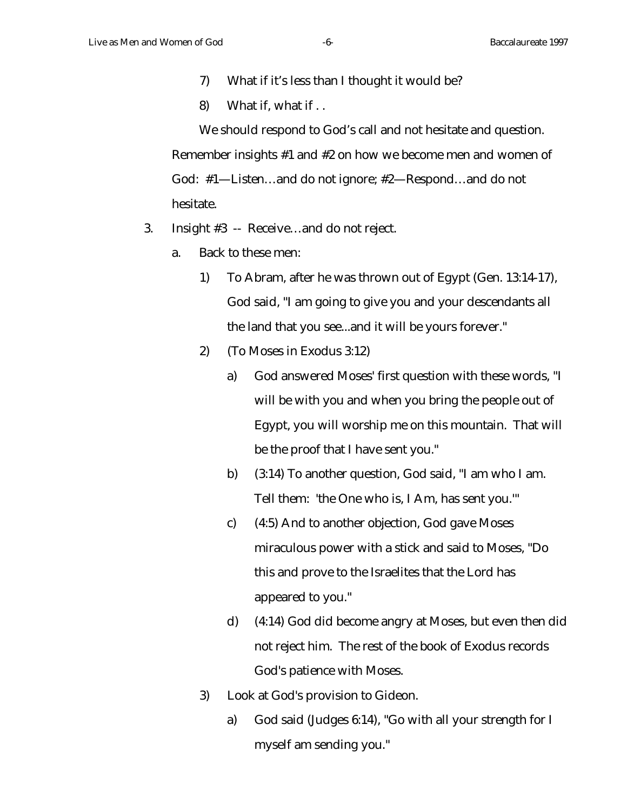- 7) What if it's less than I thought it would be?
- 8) What if, what if . .

We should respond to God's call and not hesitate and question. Remember insights #1 and #2 on how we become men and women of God: #1—Listen…and do not ignore; #2—Respond…and do not hesitate.

- 3. Insight #3 -- Receive…and do not reject.
	- a. Back to these men:
		- 1) To Abram, after he was thrown out of Egypt (Gen. 13:14-17), God said, "I am going to give you and your descendants all the land that you see...and it will be yours forever."
		- 2) (To Moses in Exodus 3:12)
			- a) God answered Moses' first question with these words, "I will be with you and when you bring the people out of Egypt, you will worship me on this mountain. That will be the proof that I have sent you."
			- b) (3:14) To another question, God said, "I am who I am. Tell them: 'the One who is, I Am, has sent you.'"
			- c) (4:5) And to another objection, God gave Moses miraculous power with a stick and said to Moses, "Do this and prove to the Israelites that the Lord has appeared to you."
			- d) (4:14) God did become angry at Moses, but even then did not reject him. The rest of the book of Exodus records God's patience with Moses.
		- 3) Look at God's provision to Gideon.
			- a) God said (Judges 6:14), "Go with all your strength for I myself am sending you."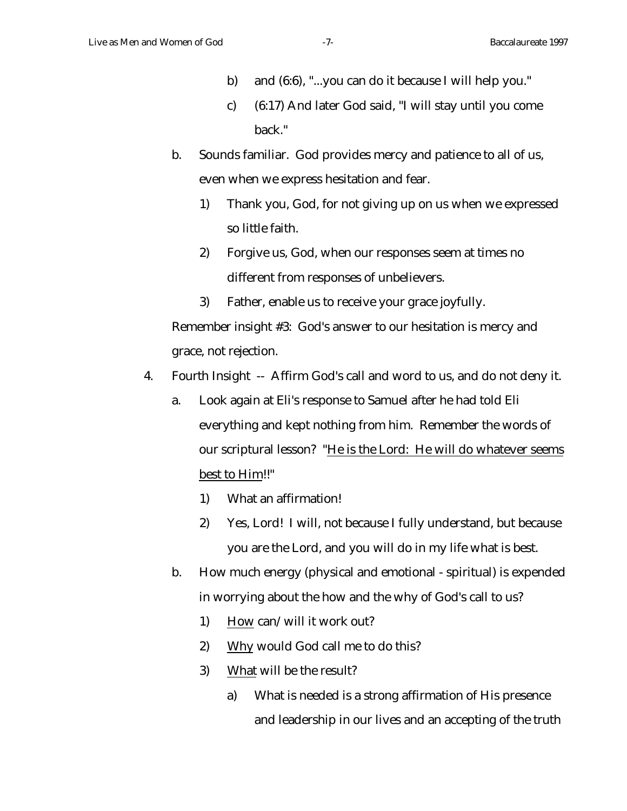- b) and (6:6), "...you can do it because I will help you."
- c) (6:17) And later God said, "I will stay until you come back."
- b. Sounds familiar. God provides mercy and patience to all of us, even when we express hesitation and fear.
	- 1) Thank you, God, for not giving up on us when we expressed so little faith.
	- 2) Forgive us, God, when our responses seem at times no different from responses of unbelievers.
- 3) Father, enable us to receive your grace joyfully. Remember insight #3: God's answer to our hesitation is mercy and grace, not rejection.
- 4. Fourth Insight -- Affirm God's call and word to us, and do not deny it.
	- a. Look again at Eli's response to Samuel after he had told Eli everything and kept nothing from him. Remember the words of our scriptural lesson? "He is the Lord: He will do whatever seems best to Him!!"
		- 1) What an affirmation!
		- 2) Yes, Lord! I will, not because I fully understand, but because you are the Lord, and you will do in my life what is best.
	- b. How much energy (physical and emotional spiritual) is expended in worrying about the how and the why of God's call to us?
		- 1) How can/will it work out?
		- 2) Why would God call me to do this?
		- 3) What will be the result?
			- a) What is needed is a strong affirmation of His presence and leadership in our lives and an accepting of the truth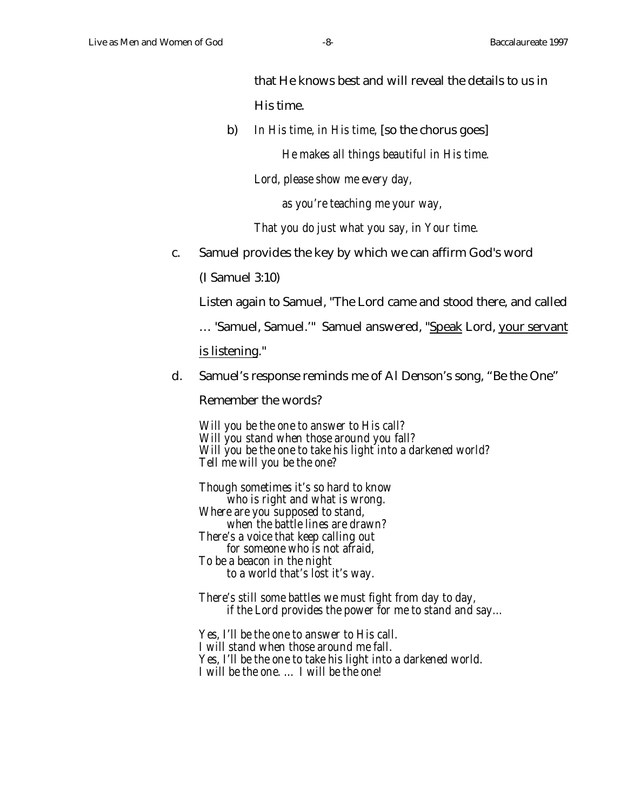that He knows best and will reveal the details to us in His time.

b) *In His time, in His time,* [so the chorus goes]

*He makes all things beautiful in His time.*

*Lord, please show me every day,*

*as you're teaching me your way,*

*That you do just what you say, in Your time.*

c. Samuel provides the key by which we can affirm God's word

(I Samuel 3:10)

Listen again to Samuel, "The Lord came and stood there, and called

… 'Samuel, Samuel.'" Samuel answered, "Speak Lord, your servant

is listening."

d. Samuel's response reminds me of Al Denson's song, "Be the One"

Remember the words?

*Will you be the one to answer to His call? Will you stand when those around you fall? Will you be the one to take his light into a darkened world? Tell me will you be the one?*

*Though sometimes it's so hard to know who is right and what is wrong. Where are you supposed to stand, when the battle lines are drawn? There's a voice that keep calling out for someone who is not afraid, To be a beacon in the night to a world that's lost it's way.*

*There's still some battles we must fight from day to day, if the Lord provides the power for me to stand and say…*

*Yes, I'll be the one to answer to His call. I will stand when those around me fall. Yes, I'll be the one to take his light into a darkened world. I will be the one. … I will be the one!*